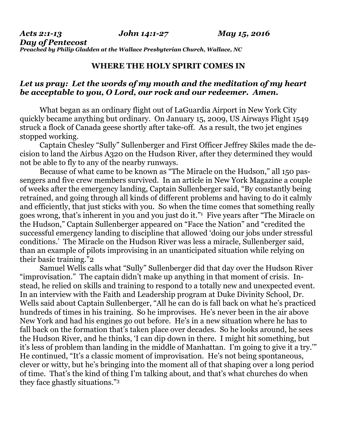*Acts 2:1-13 John 14:1-27 May 15, 2016 Day of Pentecost Preached by Philip Gladden at the Wallace Presbyterian Church, Wallace, NC* 

## **WHERE THE HOLY SPIRIT COMES IN**

## *Let us pray: Let the words of my mouth and the meditation of my heart be acceptable to you, O Lord, our rock and our redeemer. Amen.*

What began as an ordinary flight out of LaGuardia Airport in New York City quickly became anything but ordinary. On January 15, 2009, US Airways Flight 1549 struck a flock of Canada geese shortly after take-off. As a result, the two jet engines stopped working.

 Captain Chesley "Sully" Sullenberger and First Officer Jeffrey Skiles made the decision to land the Airbus A320 on the Hudson River, after they determined they would not be able to fly to any of the nearby runways.

 Because of what came to be known as "The Miracle on the Hudson," all 150 passengers and five crew members survived. In an article in New York Magazine a couple of weeks after the emergency landing, Captain Sullenberger said, "By constantly being retrained, and going through all kinds of different problems and having to do it calmly and efficiently, that just sticks with you. So when the time comes that something really goes wrong, that's inherent in you and you just do it."1 Five years after "The Miracle on the Hudson," Captain Sullenberger appeared on "Face the Nation" and "credited the successful emergency landing to discipline that allowed 'doing our jobs under stressful conditions.' The Miracle on the Hudson River was less a miracle, Sullenberger said, than an example of pilots improvising in an unanticipated situation while relying on their basic training."2

 Samuel Wells calls what "Sully" Sullenberger did that day over the Hudson River "improvisation." The captain didn't make up anything in that moment of crisis. Instead, he relied on skills and training to respond to a totally new and unexpected event. In an interview with the Faith and Leadership program at Duke Divinity School, Dr. Wells said about Captain Sullenberger, "All he can do is fall back on what he's practiced hundreds of times in his training. So he improvises. He's never been in the air above New York and had his engines go out before. He's in a new situation where he has to fall back on the formation that's taken place over decades. So he looks around, he sees the Hudson River, and he thinks, 'I can dip down in there. I might hit something, but it's less of problem than landing in the middle of Manhattan. I'm going to give it a try.'" He continued, "It's a classic moment of improvisation. He's not being spontaneous, clever or witty, but he's bringing into the moment all of that shaping over a long period of time. That's the kind of thing I'm talking about, and that's what churches do when they face ghastly situations."3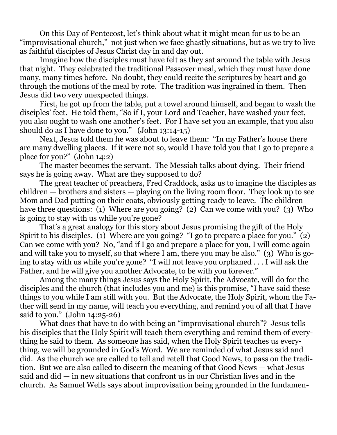On this Day of Pentecost, let's think about what it might mean for us to be an "improvisational church," not just when we face ghastly situations, but as we try to live as faithful disciples of Jesus Christ day in and day out.

 Imagine how the disciples must have felt as they sat around the table with Jesus that night. They celebrated the traditional Passover meal, which they must have done many, many times before. No doubt, they could recite the scriptures by heart and go through the motions of the meal by rote. The tradition was ingrained in them. Then Jesus did two very unexpected things.

 First, he got up from the table, put a towel around himself, and began to wash the disciples' feet. He told them, "So if I, your Lord and Teacher, have washed your feet, you also ought to wash one another's feet. For I have set you an example, that you also should do as I have done to you." (John 13:14-15)

 Next, Jesus told them he was about to leave them: "In my Father's house there are many dwelling places. If it were not so, would I have told you that I go to prepare a place for you?" (John 14:2)

 The master becomes the servant. The Messiah talks about dying. Their friend says he is going away. What are they supposed to do?

 The great teacher of preachers, Fred Craddock, asks us to imagine the disciples as children — brothers and sisters — playing on the living room floor. They look up to see Mom and Dad putting on their coats, obviously getting ready to leave. The children have three questions: (1) Where are you going? (2) Can we come with you? (3) Who is going to stay with us while you're gone?

 That's a great analogy for this story about Jesus promising the gift of the Holy Spirit to his disciples. (1) Where are you going? "I go to prepare a place for you." (2) Can we come with you? No, "and if I go and prepare a place for you, I will come again and will take you to myself, so that where I am, there you may be also." (3) Who is going to stay with us while you're gone? "I will not leave you orphaned . . . I will ask the Father, and he will give you another Advocate, to be with you forever."

 Among the many things Jesus says the Holy Spirit, the Advocate, will do for the disciples and the church (that includes you and me) is this promise, "I have said these things to you while I am still with you. But the Advocate, the Holy Spirit, whom the Father will send in my name, will teach you everything, and remind you of all that I have said to you." (John 14:25-26)

 What does that have to do with being an "improvisational church"? Jesus tells his disciples that the Holy Spirit will teach them everything and remind them of everything he said to them. As someone has said, when the Holy Spirit teaches us everything, we will be grounded in God's Word. We are reminded of what Jesus said and did. As the church we are called to tell and retell that Good News, to pass on the tradition. But we are also called to discern the meaning of that Good News — what Jesus said and did — in new situations that confront us in our Christian lives and in the church. As Samuel Wells says about improvisation being grounded in the fundamen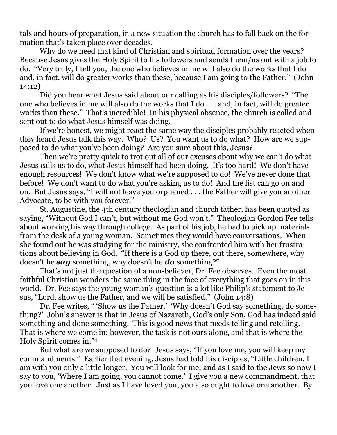tals and hours of preparation, in a new situation the church has to fall back on the formation that's taken place over decades.

 Why do we need that kind of Christian and spiritual formation over the years? Because Jesus gives the Holy Spirit to his followers and sends them/us out with a job to do. "Very truly, I tell you, the one who believes in me will also do the works that I do and, in fact, will do greater works than these, because I am going to the Father." (John 14:12)

 Did you hear what Jesus said about our calling as his disciples/followers? "The one who believes in me will also do the works that I do . . . and, in fact, will do greater works than these." That's incredible! In his physical absence, the church is called and sent out to do what Jesus himself was doing.

 If we're honest, we might react the same way the disciples probably reacted when they heard Jesus talk this way. Who? Us? You want us to do what? How are we supposed to do what you've been doing? Are you sure about this, Jesus?

 Then we're pretty quick to trot out all of our excuses about why we can't do what Jesus calls us to do, what Jesus himself had been doing. It's too hard! We don't have enough resources! We don't know what we're supposed to do! We've never done that before! We don't want to do what you're asking us to do! And the list can go on and on. But Jesus says, "I will not leave you orphaned . . . the Father will give you another Advocate, to be with you forever."

 St. Augustine, the 4th century theologian and church father, has been quoted as saying, "Without God I can't, but without me God won't." Theologian Gordon Fee tells about working his way through college. As part of his job, he had to pick up materials from the desk of a young woman. Sometimes they would have conversations. When she found out he was studying for the ministry, she confronted him with her frustrations about believing in God. "If there is a God up there, out there, somewhere, why doesn't he *say* something, why doesn't he *do* something?"

 That's not just the question of a non-believer, Dr. Fee observes. Even the most faithful Christian wonders the same thing in the face of everything that goes on in this world. Dr. Fee says the young woman's question is a lot like Philip's statement to Jesus, "Lord, show us the Father, and we will be satisfied." (John 14:8)

 Dr. Fee writes, " 'Show us the Father.' 'Why doesn't God say something, do something?' John's answer is that in Jesus of Nazareth, God's only Son, God has indeed said something and done something. This is good news that needs telling and retelling. That is where we come in; however, the task is not ours alone, and that is where the Holy Spirit comes in."4

 But what are we supposed to do? Jesus says, "If you love me, you will keep my commandments." Earlier that evening, Jesus had told his disciples, "Little children, I am with you only a little longer. You will look for me; and as I said to the Jews so now I say to you, 'Where I am going, you cannot come.' I give you a new commandment, that you love one another. Just as I have loved you, you also ought to love one another. By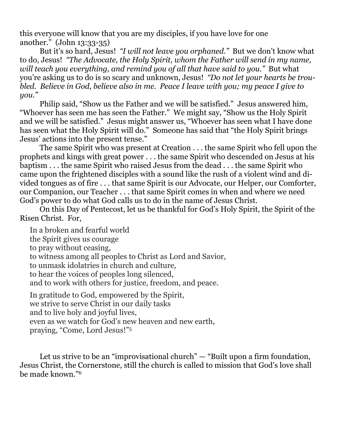this everyone will know that you are my disciples, if you have love for one another." (John 13:33-35)

 But it's so hard, Jesus! *"I will not leave you orphaned."* But we don't know what to do, Jesus! *"The Advocate, the Holy Spirit, whom the Father will send in my name, will teach you everything, and remind you of all that have said to you.*" But what you're asking us to do is so scary and unknown, Jesus! *"Do not let your hearts be troubled. Believe in God, believe also in me. Peace I leave with you; my peace I give to you."*

 Philip said, "Show us the Father and we will be satisfied." Jesus answered him, "Whoever has seen me has seen the Father." We might say, "Show us the Holy Spirit and we will be satisfied." Jesus might answer us, "Whoever has seen what I have done has seen what the Holy Spirit will do." Someone has said that "the Holy Spirit brings Jesus' actions into the present tense."

 The same Spirit who was present at Creation . . . the same Spirit who fell upon the prophets and kings with great power . . . the same Spirit who descended on Jesus at his baptism . . . the same Spirit who raised Jesus from the dead . . . the same Spirit who came upon the frightened disciples with a sound like the rush of a violent wind and divided tongues as of fire . . . that same Spirit is our Advocate, our Helper, our Comforter, our Companion, our Teacher . . . that same Spirit comes in when and where we need God's power to do what God calls us to do in the name of Jesus Christ.

 On this Day of Pentecost, let us be thankful for God's Holy Spirit, the Spirit of the Risen Christ. For,

In a broken and fearful world the Spirit gives us courage to pray without ceasing, to witness among all peoples to Christ as Lord and Savior, to unmask idolatries in church and culture, to hear the voices of peoples long silenced, and to work with others for justice, freedom, and peace. In gratitude to God, empowered by the Spirit, we strive to serve Christ in our daily tasks and to live holy and joyful lives, even as we watch for God's new heaven and new earth,

praying, "Come, Lord Jesus!"5

Let us strive to be an "improvisational church" — "Built upon a firm foundation, Jesus Christ, the Cornerstone, still the church is called to mission that God's love shall be made known."6